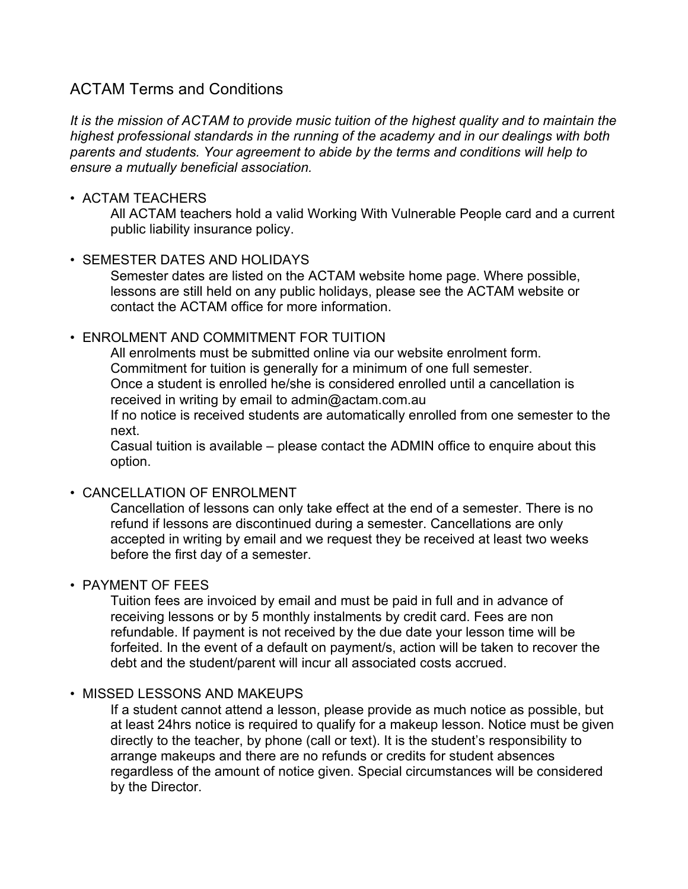# ACTAM Terms and Conditions

*It is the mission of ACTAM to provide music tuition of the highest quality and to maintain the highest professional standards in the running of the academy and in our dealings with both parents and students. Your agreement to abide by the terms and conditions will help to ensure a mutually beneficial association.*

#### • ACTAM TEACHERS

All ACTAM teachers hold a valid Working With Vulnerable People card and a current public liability insurance policy.

#### • SEMESTER DATES AND HOLIDAYS

Semester dates are listed on the ACTAM website home page. Where possible, lessons are still held on any public holidays, please see the ACTAM website or contact the ACTAM office for more information.

## • ENROLMENT AND COMMITMENT FOR TUITION

All enrolments must be submitted online via our website enrolment form. Commitment for tuition is generally for a minimum of one full semester. Once a student is enrolled he/she is considered enrolled until a cancellation is received in writing by email to admin@actam.com.au

If no notice is received students are automatically enrolled from one semester to the next.

Casual tuition is available – please contact the ADMIN office to enquire about this option.

## • CANCELLATION OF ENROLMENT

Cancellation of lessons can only take effect at the end of a semester. There is no refund if lessons are discontinued during a semester. Cancellations are only accepted in writing by email and we request they be received at least two weeks before the first day of a semester.

## • PAYMENT OF FEES

Tuition fees are invoiced by email and must be paid in full and in advance of receiving lessons or by 5 monthly instalments by credit card. Fees are non refundable. If payment is not received by the due date your lesson time will be forfeited. In the event of a default on payment/s, action will be taken to recover the debt and the student/parent will incur all associated costs accrued.

## • MISSED LESSONS AND MAKEUPS

If a student cannot attend a lesson, please provide as much notice as possible, but at least 24hrs notice is required to qualify for a makeup lesson. Notice must be given directly to the teacher, by phone (call or text). It is the student's responsibility to arrange makeups and there are no refunds or credits for student absences regardless of the amount of notice given. Special circumstances will be considered by the Director.